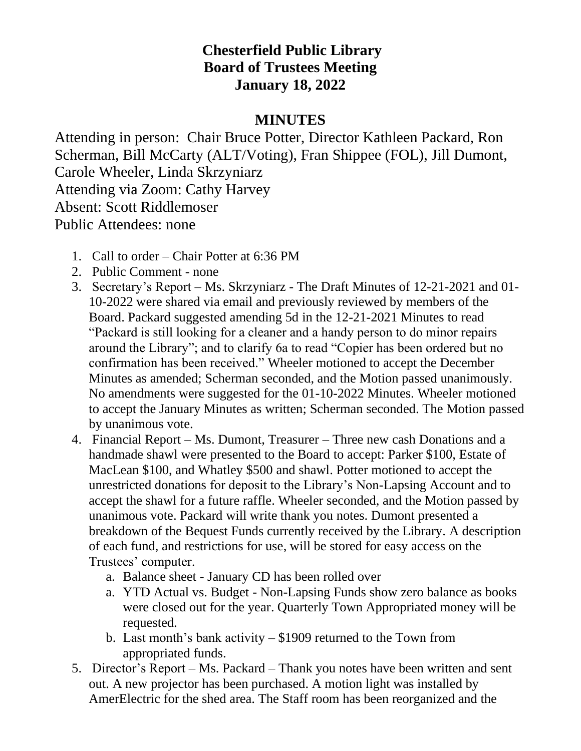## **Chesterfield Public Library Board of Trustees Meeting January 18, 2022**

## **MINUTES**

Attending in person: Chair Bruce Potter, Director Kathleen Packard, Ron Scherman, Bill McCarty (ALT/Voting), Fran Shippee (FOL), Jill Dumont, Carole Wheeler, Linda Skrzyniarz Attending via Zoom: Cathy Harvey Absent: Scott Riddlemoser Public Attendees: none

- 1. Call to order Chair Potter at 6:36 PM
- 2. Public Comment none
- 3. Secretary's Report Ms. Skrzyniarz The Draft Minutes of 12-21-2021 and 01- 10-2022 were shared via email and previously reviewed by members of the Board. Packard suggested amending 5d in the 12-21-2021 Minutes to read "Packard is still looking for a cleaner and a handy person to do minor repairs around the Library"; and to clarify 6a to read "Copier has been ordered but no confirmation has been received." Wheeler motioned to accept the December Minutes as amended; Scherman seconded, and the Motion passed unanimously. No amendments were suggested for the 01-10-2022 Minutes. Wheeler motioned to accept the January Minutes as written; Scherman seconded. The Motion passed by unanimous vote.
- 4. Financial Report Ms. Dumont, Treasurer Three new cash Donations and a handmade shawl were presented to the Board to accept: Parker \$100, Estate of MacLean \$100, and Whatley \$500 and shawl. Potter motioned to accept the unrestricted donations for deposit to the Library's Non-Lapsing Account and to accept the shawl for a future raffle. Wheeler seconded, and the Motion passed by unanimous vote. Packard will write thank you notes. Dumont presented a breakdown of the Bequest Funds currently received by the Library. A description of each fund, and restrictions for use, will be stored for easy access on the Trustees' computer.
	- a. Balance sheet January CD has been rolled over
	- a. YTD Actual vs. Budget Non-Lapsing Funds show zero balance as books were closed out for the year. Quarterly Town Appropriated money will be requested.
	- b. Last month's bank activity \$1909 returned to the Town from appropriated funds.
- 5. Director's Report Ms. Packard Thank you notes have been written and sent out. A new projector has been purchased. A motion light was installed by AmerElectric for the shed area. The Staff room has been reorganized and the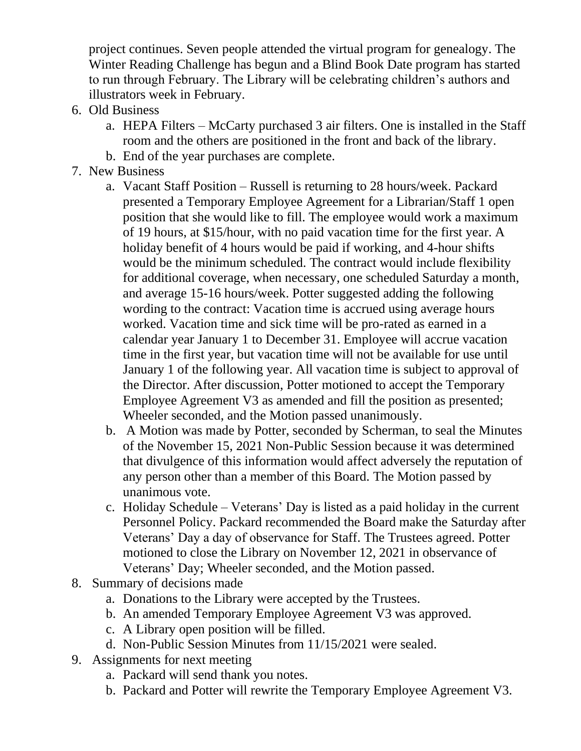project continues. Seven people attended the virtual program for genealogy. The Winter Reading Challenge has begun and a Blind Book Date program has started to run through February. The Library will be celebrating children's authors and illustrators week in February.

- 6. Old Business
	- a. HEPA Filters McCarty purchased 3 air filters. One is installed in the Staff room and the others are positioned in the front and back of the library.
	- b. End of the year purchases are complete.
- 7. New Business
	- a. Vacant Staff Position Russell is returning to 28 hours/week. Packard presented a Temporary Employee Agreement for a Librarian/Staff 1 open position that she would like to fill. The employee would work a maximum of 19 hours, at \$15/hour, with no paid vacation time for the first year. A holiday benefit of 4 hours would be paid if working, and 4-hour shifts would be the minimum scheduled. The contract would include flexibility for additional coverage, when necessary, one scheduled Saturday a month, and average 15-16 hours/week. Potter suggested adding the following wording to the contract: Vacation time is accrued using average hours worked. Vacation time and sick time will be pro-rated as earned in a calendar year January 1 to December 31. Employee will accrue vacation time in the first year, but vacation time will not be available for use until January 1 of the following year. All vacation time is subject to approval of the Director. After discussion, Potter motioned to accept the Temporary Employee Agreement V3 as amended and fill the position as presented; Wheeler seconded, and the Motion passed unanimously.
	- b. A Motion was made by Potter, seconded by Scherman, to seal the Minutes of the November 15, 2021 Non-Public Session because it was determined that divulgence of this information would affect adversely the reputation of any person other than a member of this Board. The Motion passed by unanimous vote.
	- c. Holiday Schedule Veterans' Day is listed as a paid holiday in the current Personnel Policy. Packard recommended the Board make the Saturday after Veterans' Day a day of observance for Staff. The Trustees agreed. Potter motioned to close the Library on November 12, 2021 in observance of Veterans' Day; Wheeler seconded, and the Motion passed.
- 8. Summary of decisions made
	- a. Donations to the Library were accepted by the Trustees.
	- b. An amended Temporary Employee Agreement V3 was approved.
	- c. A Library open position will be filled.
	- d. Non-Public Session Minutes from 11/15/2021 were sealed.
- 9. Assignments for next meeting
	- a. Packard will send thank you notes.
	- b. Packard and Potter will rewrite the Temporary Employee Agreement V3.